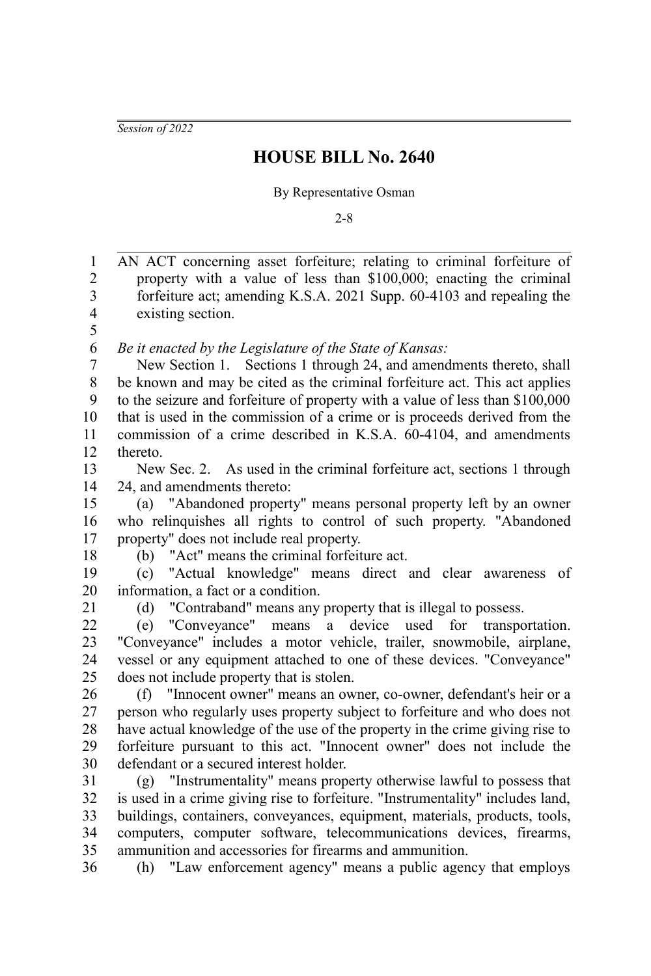*Session of 2022*

## **HOUSE BILL No. 2640**

## By Representative Osman

2-8

AN ACT concerning asset forfeiture; relating to criminal forfeiture of property with a value of less than \$100,000; enacting the criminal forfeiture act; amending K.S.A. 2021 Supp. 60-4103 and repealing the existing section. *Be it enacted by the Legislature of the State of Kansas:* New Section 1. Sections 1 through 24, and amendments thereto, shall be known and may be cited as the criminal forfeiture act. This act applies to the seizure and forfeiture of property with a value of less than \$100,000 that is used in the commission of a crime or is proceeds derived from the commission of a crime described in K.S.A. 60-4104, and amendments thereto. New Sec. 2. As used in the criminal forfeiture act, sections 1 through 24, and amendments thereto: (a) "Abandoned property" means personal property left by an owner who relinquishes all rights to control of such property. "Abandoned property" does not include real property. (b) "Act" means the criminal forfeiture act. (c) "Actual knowledge" means direct and clear awareness of information, a fact or a condition. (d) "Contraband" means any property that is illegal to possess. (e) "Conveyance" means a device used for transportation. "Conveyance" includes a motor vehicle, trailer, snowmobile, airplane, vessel or any equipment attached to one of these devices. "Conveyance" does not include property that is stolen. (f) "Innocent owner" means an owner, co-owner, defendant's heir or a person who regularly uses property subject to forfeiture and who does not have actual knowledge of the use of the property in the crime giving rise to forfeiture pursuant to this act. "Innocent owner" does not include the defendant or a secured interest holder. (g) "Instrumentality" means property otherwise lawful to possess that is used in a crime giving rise to forfeiture. "Instrumentality" includes land, buildings, containers, conveyances, equipment, materials, products, tools, computers, computer software, telecommunications devices, firearms, ammunition and accessories for firearms and ammunition. (h) "Law enforcement agency" means a public agency that employs 1 2 3 4 5 6 7 8 9 10 11 12 13 14 15 16 17 18 19 20 21 22 23 24 25 26 27 28 29 30 31 32 33 34 35 36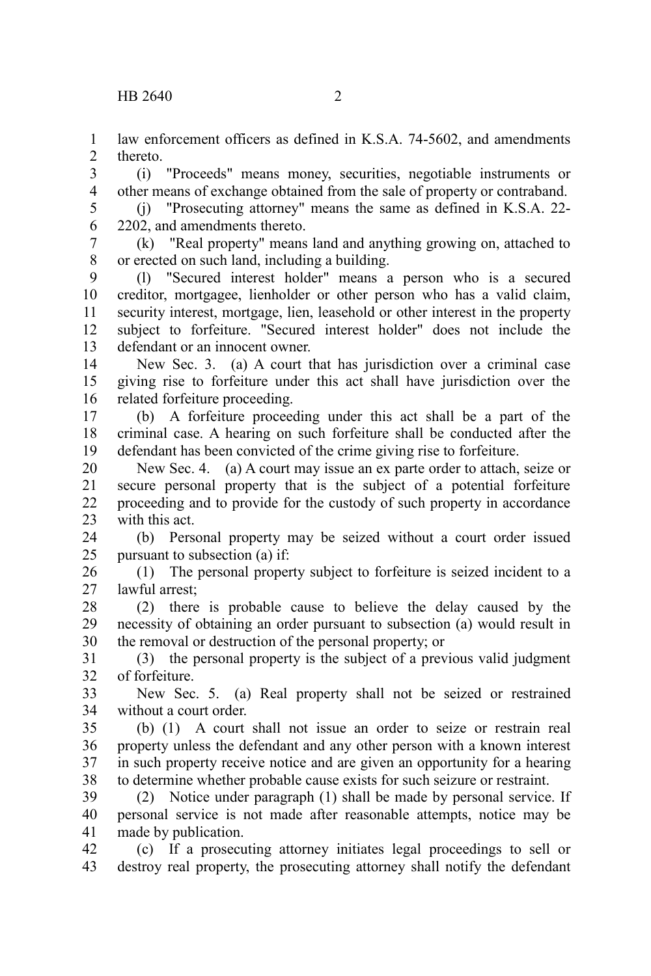law enforcement officers as defined in K.S.A. 74-5602, and amendments thereto. 1  $\mathcal{L}$ 

(i) "Proceeds" means money, securities, negotiable instruments or other means of exchange obtained from the sale of property or contraband. 3 4

(j) "Prosecuting attorney" means the same as defined in K.S.A. 22- 2202, and amendments thereto. 5 6

(k) "Real property" means land and anything growing on, attached to or erected on such land, including a building. 7 8

(l) "Secured interest holder" means a person who is a secured creditor, mortgagee, lienholder or other person who has a valid claim, security interest, mortgage, lien, leasehold or other interest in the property subject to forfeiture. "Secured interest holder" does not include the defendant or an innocent owner. 9 10 11 12 13

New Sec. 3. (a) A court that has jurisdiction over a criminal case giving rise to forfeiture under this act shall have jurisdiction over the related forfeiture proceeding. 14 15 16

(b) A forfeiture proceeding under this act shall be a part of the criminal case. A hearing on such forfeiture shall be conducted after the defendant has been convicted of the crime giving rise to forfeiture. 17 18 19

New Sec. 4. (a) A court may issue an ex parte order to attach, seize or secure personal property that is the subject of a potential forfeiture proceeding and to provide for the custody of such property in accordance with this act. 20 21 22 23

(b) Personal property may be seized without a court order issued pursuant to subsection (a) if: 24 25

(1) The personal property subject to forfeiture is seized incident to a lawful arrest; 26 27

(2) there is probable cause to believe the delay caused by the necessity of obtaining an order pursuant to subsection (a) would result in the removal or destruction of the personal property; or 28 29 30

(3) the personal property is the subject of a previous valid judgment of forfeiture. 31 32

New Sec. 5. (a) Real property shall not be seized or restrained without a court order. 33 34

(b) (1) A court shall not issue an order to seize or restrain real property unless the defendant and any other person with a known interest in such property receive notice and are given an opportunity for a hearing to determine whether probable cause exists for such seizure or restraint. 35 36 37 38

(2) Notice under paragraph (1) shall be made by personal service. If personal service is not made after reasonable attempts, notice may be made by publication. 39 40 41

(c) If a prosecuting attorney initiates legal proceedings to sell or destroy real property, the prosecuting attorney shall notify the defendant 42 43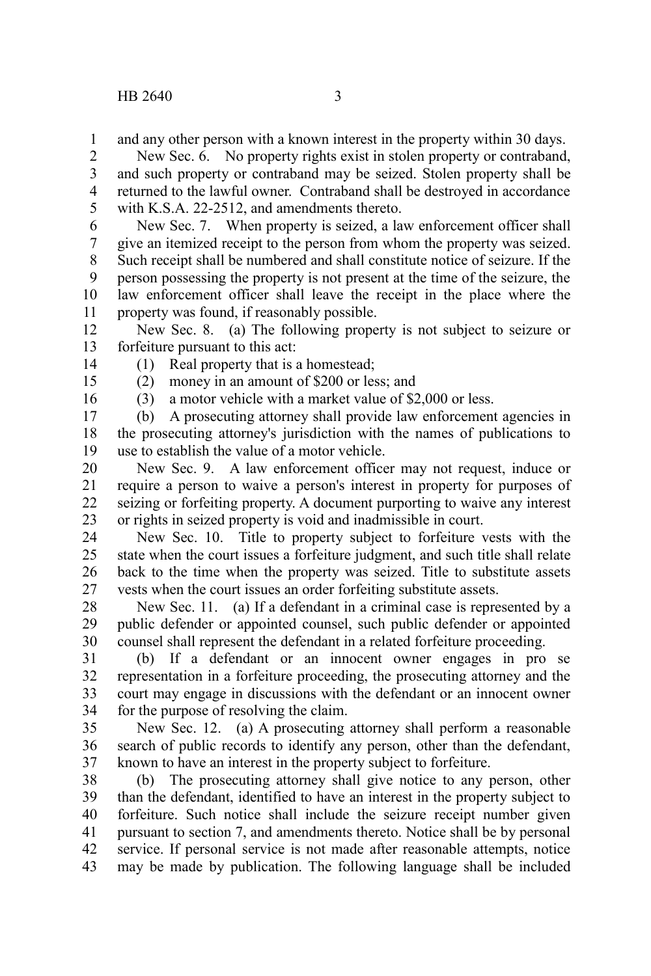and any other person with a known interest in the property within 30 days. 1

New Sec. 6. No property rights exist in stolen property or contraband, and such property or contraband may be seized. Stolen property shall be returned to the lawful owner. Contraband shall be destroyed in accordance with K.S.A. 22-2512, and amendments thereto. 2 3 4 5

New Sec. 7. When property is seized, a law enforcement officer shall give an itemized receipt to the person from whom the property was seized. Such receipt shall be numbered and shall constitute notice of seizure. If the person possessing the property is not present at the time of the seizure, the law enforcement officer shall leave the receipt in the place where the property was found, if reasonably possible. 6 7 8 9 10 11

New Sec. 8. (a) The following property is not subject to seizure or forfeiture pursuant to this act: 12 13

14

(1) Real property that is a homestead;

(2) money in an amount of \$200 or less; and

15 16

(3) a motor vehicle with a market value of \$2,000 or less.

(b) A prosecuting attorney shall provide law enforcement agencies in the prosecuting attorney's jurisdiction with the names of publications to use to establish the value of a motor vehicle. 17 18 19

New Sec. 9. A law enforcement officer may not request, induce or require a person to waive a person's interest in property for purposes of seizing or forfeiting property. A document purporting to waive any interest or rights in seized property is void and inadmissible in court. 20 21 22 23

New Sec. 10. Title to property subject to forfeiture vests with the state when the court issues a forfeiture judgment, and such title shall relate back to the time when the property was seized. Title to substitute assets vests when the court issues an order forfeiting substitute assets. 24 25 26 27

New Sec. 11. (a) If a defendant in a criminal case is represented by a public defender or appointed counsel, such public defender or appointed counsel shall represent the defendant in a related forfeiture proceeding. 28 29 30

(b) If a defendant or an innocent owner engages in pro se representation in a forfeiture proceeding, the prosecuting attorney and the court may engage in discussions with the defendant or an innocent owner for the purpose of resolving the claim. 31 32 33 34

New Sec. 12. (a) A prosecuting attorney shall perform a reasonable search of public records to identify any person, other than the defendant, known to have an interest in the property subject to forfeiture. 35 36 37

(b) The prosecuting attorney shall give notice to any person, other than the defendant, identified to have an interest in the property subject to forfeiture. Such notice shall include the seizure receipt number given pursuant to section 7, and amendments thereto. Notice shall be by personal service. If personal service is not made after reasonable attempts, notice may be made by publication. The following language shall be included 38 39 40 41 42 43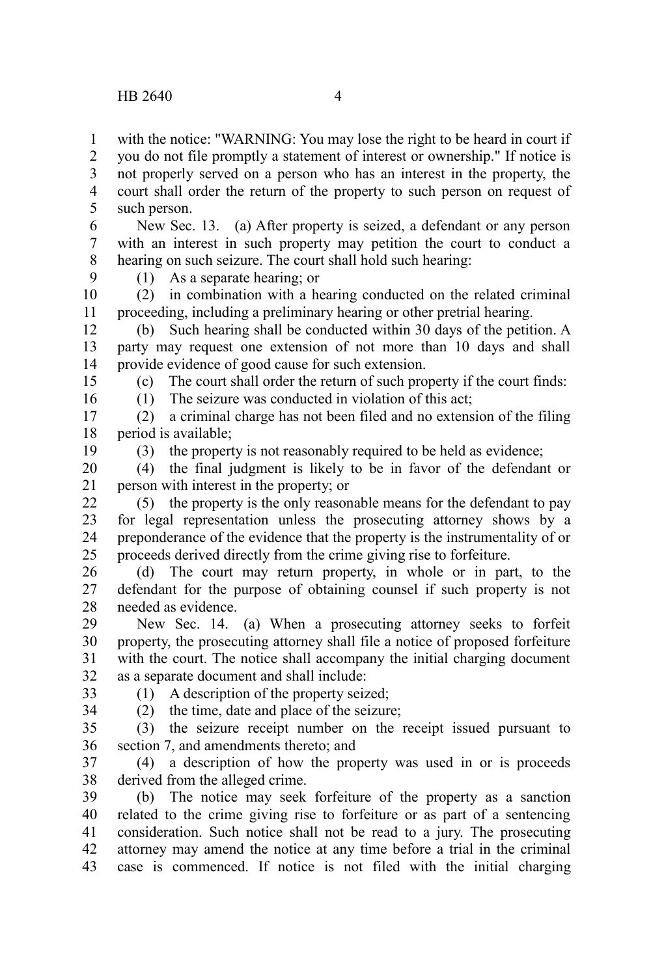with the notice: "WARNING: You may lose the right to be heard in court if you do not file promptly a statement of interest or ownership." If notice is not properly served on a person who has an interest in the property, the court shall order the return of the property to such person on request of such person. 1 2 3 4 5

New Sec. 13. (a) After property is seized, a defendant or any person with an interest in such property may petition the court to conduct a hearing on such seizure. The court shall hold such hearing: 6 7 8

9

(1) As a separate hearing; or

(2) in combination with a hearing conducted on the related criminal proceeding, including a preliminary hearing or other pretrial hearing. 10 11

(b) Such hearing shall be conducted within 30 days of the petition. A party may request one extension of not more than 10 days and shall provide evidence of good cause for such extension. 12 13 14

(c) The court shall order the return of such property if the court finds:

15 16

(1) The seizure was conducted in violation of this act;

(2) a criminal charge has not been filed and no extension of the filing period is available; 17 18

19

(3) the property is not reasonably required to be held as evidence;

(4) the final judgment is likely to be in favor of the defendant or person with interest in the property; or 20 21

(5) the property is the only reasonable means for the defendant to pay for legal representation unless the prosecuting attorney shows by a preponderance of the evidence that the property is the instrumentality of or proceeds derived directly from the crime giving rise to forfeiture. 22 23 24 25

(d) The court may return property, in whole or in part, to the defendant for the purpose of obtaining counsel if such property is not needed as evidence. 26 27 28

New Sec. 14. (a) When a prosecuting attorney seeks to forfeit property, the prosecuting attorney shall file a notice of proposed forfeiture with the court. The notice shall accompany the initial charging document as a separate document and shall include: 29 30 31 32

33 34 (1) A description of the property seized; (2) the time, date and place of the seizure;

(3) the seizure receipt number on the receipt issued pursuant to section 7, and amendments thereto; and 35 36

(4) a description of how the property was used in or is proceeds derived from the alleged crime. 37 38

(b) The notice may seek forfeiture of the property as a sanction related to the crime giving rise to forfeiture or as part of a sentencing consideration. Such notice shall not be read to a jury. The prosecuting attorney may amend the notice at any time before a trial in the criminal case is commenced. If notice is not filed with the initial charging 39 40 41 42 43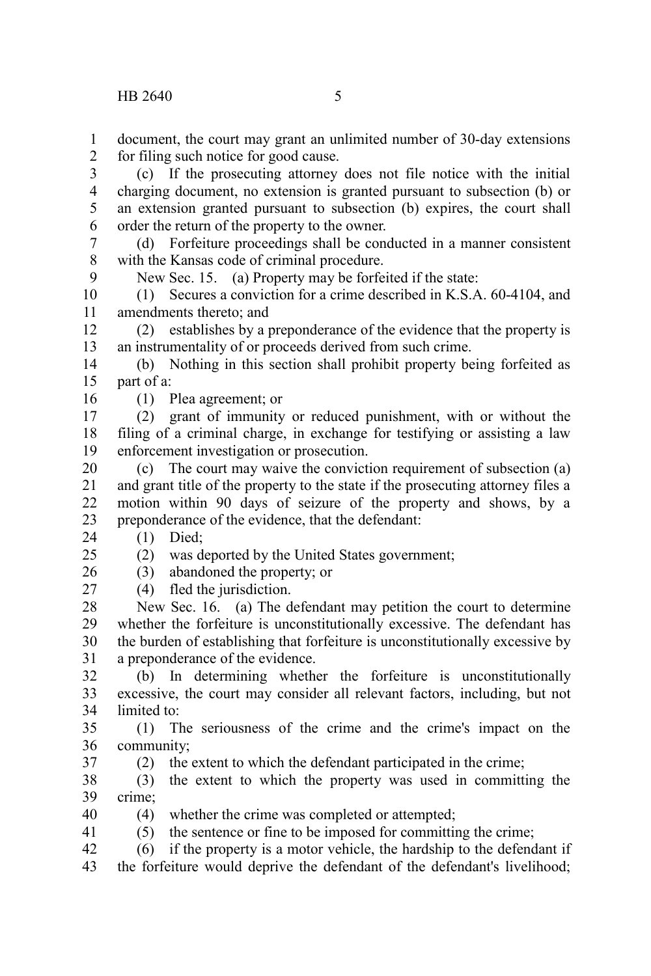document, the court may grant an unlimited number of 30-day extensions for filing such notice for good cause. 1  $\mathcal{L}$ 

(c) If the prosecuting attorney does not file notice with the initial charging document, no extension is granted pursuant to subsection (b) or an extension granted pursuant to subsection (b) expires, the court shall order the return of the property to the owner. 3 4 5 6

(d) Forfeiture proceedings shall be conducted in a manner consistent with the Kansas code of criminal procedure. 7 8

New Sec. 15. (a) Property may be forfeited if the state:

(1) Secures a conviction for a crime described in K.S.A. 60-4104, and amendments thereto; and 10 11

(2) establishes by a preponderance of the evidence that the property is an instrumentality of or proceeds derived from such crime. 12 13

(b) Nothing in this section shall prohibit property being forfeited as part of a: 14 15 16

(1) Plea agreement; or

(2) grant of immunity or reduced punishment, with or without the filing of a criminal charge, in exchange for testifying or assisting a law enforcement investigation or prosecution. 17 18 19

(c) The court may waive the conviction requirement of subsection (a) and grant title of the property to the state if the prosecuting attorney files a motion within 90 days of seizure of the property and shows, by a preponderance of the evidence, that the defendant: 20 21 22 23

(1) Died; 24

 $25$ 

9

## (2) was deported by the United States government;

(3) abandoned the property; or 26

(4) fled the jurisdiction. 27

New Sec. 16. (a) The defendant may petition the court to determine whether the forfeiture is unconstitutionally excessive. The defendant has the burden of establishing that forfeiture is unconstitutionally excessive by a preponderance of the evidence. 28 29 30 31

(b) In determining whether the forfeiture is unconstitutionally excessive, the court may consider all relevant factors, including, but not limited to: 32 33 34

(1) The seriousness of the crime and the crime's impact on the community; 35 36 37

(2) the extent to which the defendant participated in the crime;

(3) the extent to which the property was used in committing the crime; 38 39

(4) whether the crime was completed or attempted; 40

(5) the sentence or fine to be imposed for committing the crime; 41

(6) if the property is a motor vehicle, the hardship to the defendant if 42

the forfeiture would deprive the defendant of the defendant's livelihood; 43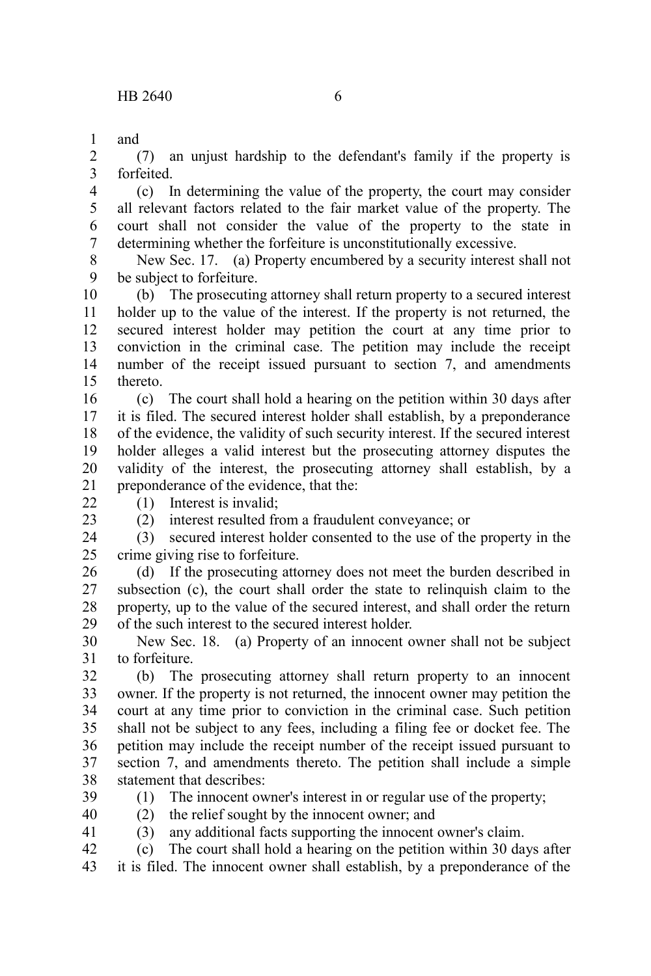and 1

(7) an unjust hardship to the defendant's family if the property is forfeited. 2 3

(c) In determining the value of the property, the court may consider all relevant factors related to the fair market value of the property. The court shall not consider the value of the property to the state in determining whether the forfeiture is unconstitutionally excessive. 4 5 6 7

New Sec. 17. (a) Property encumbered by a security interest shall not be subject to forfeiture. 8 9

(b) The prosecuting attorney shall return property to a secured interest holder up to the value of the interest. If the property is not returned, the secured interest holder may petition the court at any time prior to conviction in the criminal case. The petition may include the receipt number of the receipt issued pursuant to section 7, and amendments thereto. 10 11 12 13 14 15

(c) The court shall hold a hearing on the petition within 30 days after it is filed. The secured interest holder shall establish, by a preponderance of the evidence, the validity of such security interest. If the secured interest holder alleges a valid interest but the prosecuting attorney disputes the validity of the interest, the prosecuting attorney shall establish, by a preponderance of the evidence, that the: 16 17 18 19 20 21

- $22$
- 23

(2) interest resulted from a fraudulent conveyance; or

(1) Interest is invalid;

(3) secured interest holder consented to the use of the property in the crime giving rise to forfeiture. 24 25

(d) If the prosecuting attorney does not meet the burden described in subsection (c), the court shall order the state to relinquish claim to the property, up to the value of the secured interest, and shall order the return of the such interest to the secured interest holder. 26 27 28 29

New Sec. 18. (a) Property of an innocent owner shall not be subject to forfeiture. 30 31

(b) The prosecuting attorney shall return property to an innocent owner. If the property is not returned, the innocent owner may petition the court at any time prior to conviction in the criminal case. Such petition shall not be subject to any fees, including a filing fee or docket fee. The petition may include the receipt number of the receipt issued pursuant to section 7, and amendments thereto. The petition shall include a simple statement that describes: 32 33 34 35 36 37 38

39 40

41

(1) The innocent owner's interest in or regular use of the property;

(2) the relief sought by the innocent owner; and

(3) any additional facts supporting the innocent owner's claim.

(c) The court shall hold a hearing on the petition within 30 days after 42

it is filed. The innocent owner shall establish, by a preponderance of the 43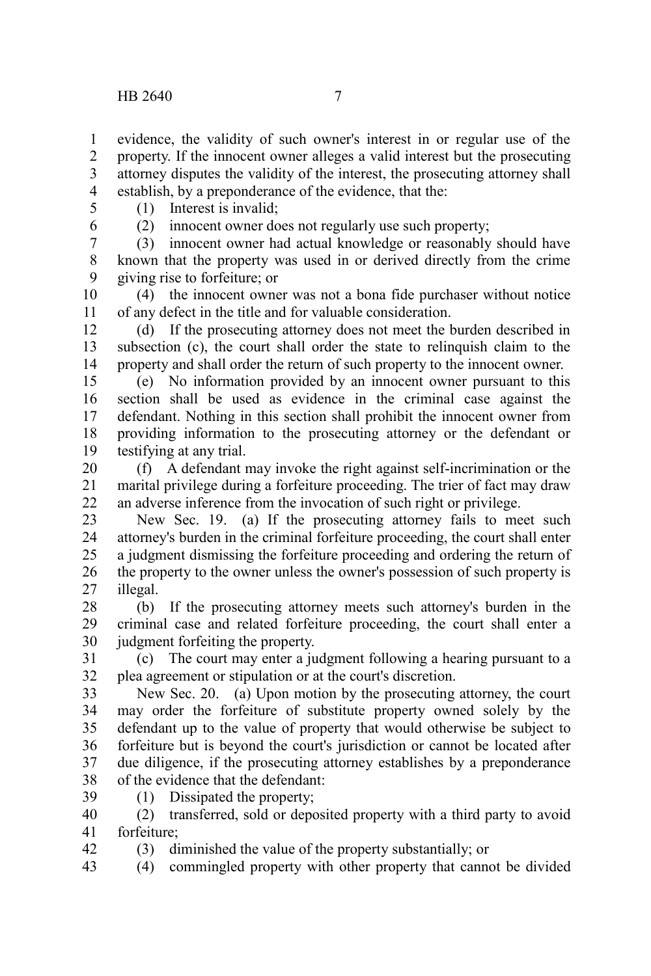evidence, the validity of such owner's interest in or regular use of the property. If the innocent owner alleges a valid interest but the prosecuting attorney disputes the validity of the interest, the prosecuting attorney shall establish, by a preponderance of the evidence, that the: 1 2 3 4

- 5
- 6

(1) Interest is invalid;

(2) innocent owner does not regularly use such property;

(3) innocent owner had actual knowledge or reasonably should have known that the property was used in or derived directly from the crime giving rise to forfeiture; or 7 8 9

(4) the innocent owner was not a bona fide purchaser without notice of any defect in the title and for valuable consideration. 10 11

(d) If the prosecuting attorney does not meet the burden described in subsection (c), the court shall order the state to relinquish claim to the property and shall order the return of such property to the innocent owner. 12 13 14

(e) No information provided by an innocent owner pursuant to this section shall be used as evidence in the criminal case against the defendant. Nothing in this section shall prohibit the innocent owner from providing information to the prosecuting attorney or the defendant or testifying at any trial. 15 16 17 18 19

(f) A defendant may invoke the right against self-incrimination or the marital privilege during a forfeiture proceeding. The trier of fact may draw an adverse inference from the invocation of such right or privilege. 20 21 22

New Sec. 19. (a) If the prosecuting attorney fails to meet such attorney's burden in the criminal forfeiture proceeding, the court shall enter a judgment dismissing the forfeiture proceeding and ordering the return of the property to the owner unless the owner's possession of such property is illegal. 23 24 25 26 27

(b) If the prosecuting attorney meets such attorney's burden in the criminal case and related forfeiture proceeding, the court shall enter a judgment forfeiting the property. 28 29 30

(c) The court may enter a judgment following a hearing pursuant to a plea agreement or stipulation or at the court's discretion. 31 32

New Sec. 20. (a) Upon motion by the prosecuting attorney, the court may order the forfeiture of substitute property owned solely by the defendant up to the value of property that would otherwise be subject to forfeiture but is beyond the court's jurisdiction or cannot be located after due diligence, if the prosecuting attorney establishes by a preponderance of the evidence that the defendant: 33 34 35 36 37 38

(1) Dissipated the property; 39

42

(2) transferred, sold or deposited property with a third party to avoid forfeiture; 40 41

(3) diminished the value of the property substantially; or

(4) commingled property with other property that cannot be divided 43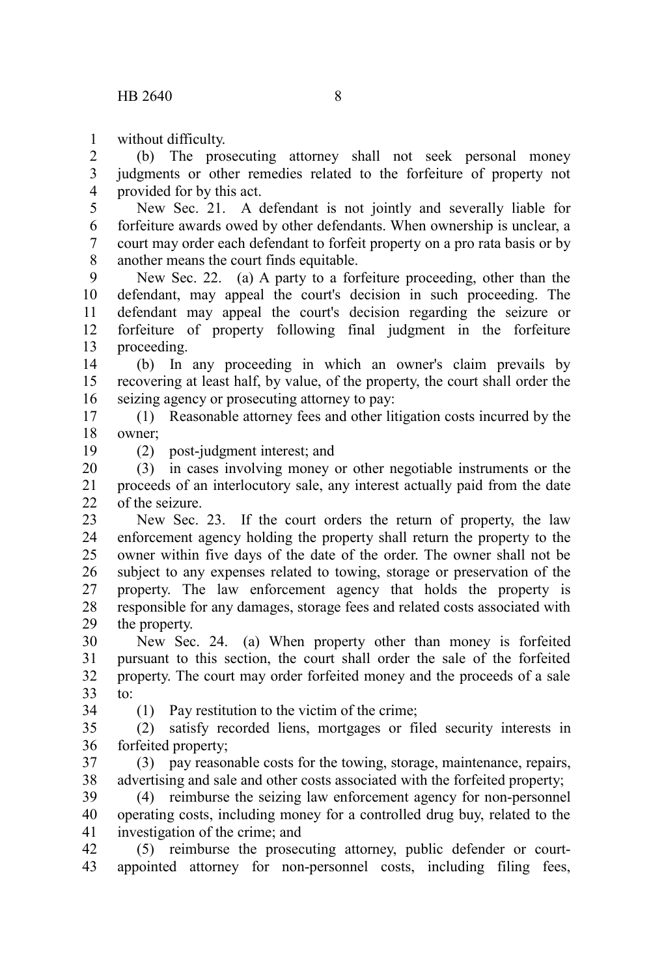without difficulty. 1

(b) The prosecuting attorney shall not seek personal money judgments or other remedies related to the forfeiture of property not provided for by this act. 2 3 4

New Sec. 21. A defendant is not jointly and severally liable for forfeiture awards owed by other defendants. When ownership is unclear, a court may order each defendant to forfeit property on a pro rata basis or by another means the court finds equitable. 5 6 7 8

New Sec. 22. (a) A party to a forfeiture proceeding, other than the defendant, may appeal the court's decision in such proceeding. The defendant may appeal the court's decision regarding the seizure or forfeiture of property following final judgment in the forfeiture proceeding. 9 10 11 12 13

(b) In any proceeding in which an owner's claim prevails by recovering at least half, by value, of the property, the court shall order the seizing agency or prosecuting attorney to pay: 14 15 16

(1) Reasonable attorney fees and other litigation costs incurred by the owner; 17 18

19

(2) post-judgment interest; and

(3) in cases involving money or other negotiable instruments or the proceeds of an interlocutory sale, any interest actually paid from the date of the seizure. 20 21  $22$ 

New Sec. 23. If the court orders the return of property, the law enforcement agency holding the property shall return the property to the owner within five days of the date of the order. The owner shall not be subject to any expenses related to towing, storage or preservation of the property. The law enforcement agency that holds the property is responsible for any damages, storage fees and related costs associated with the property. 23 24 25 26 27 28 29

New Sec. 24. (a) When property other than money is forfeited pursuant to this section, the court shall order the sale of the forfeited property. The court may order forfeited money and the proceeds of a sale to: 30 31 32 33

34

(1) Pay restitution to the victim of the crime;

(2) satisfy recorded liens, mortgages or filed security interests in forfeited property; 35 36

(3) pay reasonable costs for the towing, storage, maintenance, repairs, advertising and sale and other costs associated with the forfeited property; 37 38

(4) reimburse the seizing law enforcement agency for non-personnel operating costs, including money for a controlled drug buy, related to the investigation of the crime; and 39 40 41

(5) reimburse the prosecuting attorney, public defender or courtappointed attorney for non-personnel costs, including filing fees, 42 43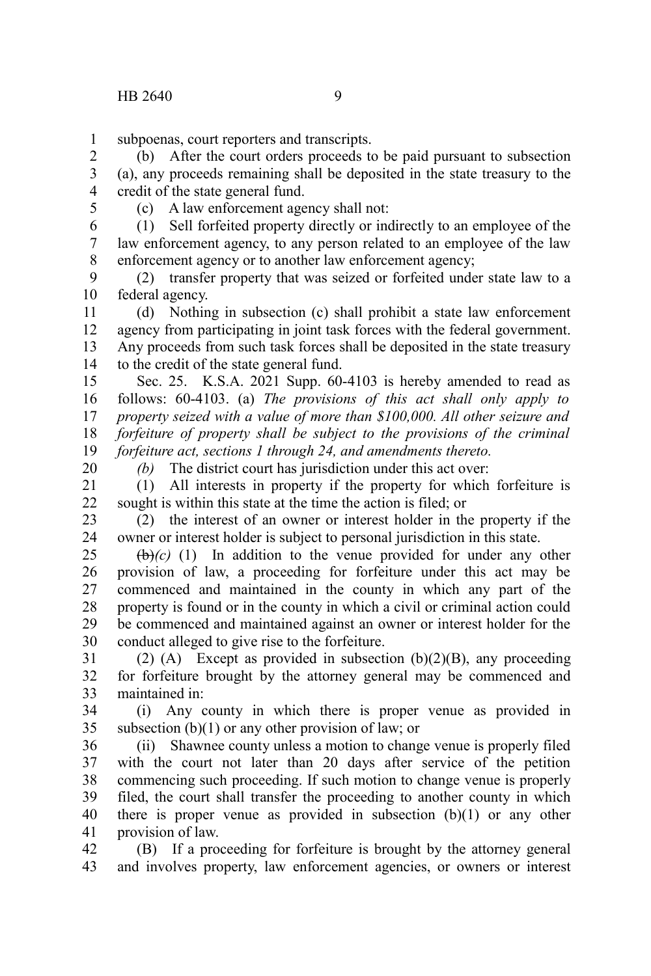subpoenas, court reporters and transcripts. 1

(b) After the court orders proceeds to be paid pursuant to subsection (a), any proceeds remaining shall be deposited in the state treasury to the credit of the state general fund. 2 3 4

5

(c) A law enforcement agency shall not:

(1) Sell forfeited property directly or indirectly to an employee of the law enforcement agency, to any person related to an employee of the law enforcement agency or to another law enforcement agency; 6 7 8

(2) transfer property that was seized or forfeited under state law to a federal agency. 9 10

(d) Nothing in subsection (c) shall prohibit a state law enforcement agency from participating in joint task forces with the federal government. Any proceeds from such task forces shall be deposited in the state treasury to the credit of the state general fund. 11 12 13 14

Sec. 25. K.S.A. 2021 Supp. 60-4103 is hereby amended to read as follows: 60-4103. (a) *The provisions of this act shall only apply to property seized with a value of more than \$100,000. All other seizure and forfeiture of property shall be subject to the provisions of the criminal forfeiture act, sections 1 through 24, and amendments thereto.* 15 16 17 18 19

20

*(b)* The district court has jurisdiction under this act over:

(1) All interests in property if the property for which forfeiture is sought is within this state at the time the action is filed; or 21 22

(2) the interest of an owner or interest holder in the property if the owner or interest holder is subject to personal jurisdiction in this state. 23 24

 $(**b**)(c)$  (1) In addition to the venue provided for under any other provision of law, a proceeding for forfeiture under this act may be commenced and maintained in the county in which any part of the property is found or in the county in which a civil or criminal action could be commenced and maintained against an owner or interest holder for the conduct alleged to give rise to the forfeiture. 25 26 27 28 29 30

(2) (A) Except as provided in subsection  $(b)(2)(B)$ , any proceeding for forfeiture brought by the attorney general may be commenced and maintained in: 31 32 33

(i) Any county in which there is proper venue as provided in subsection  $(b)(1)$  or any other provision of law; or 34 35

(ii) Shawnee county unless a motion to change venue is properly filed with the court not later than 20 days after service of the petition commencing such proceeding. If such motion to change venue is properly filed, the court shall transfer the proceeding to another county in which there is proper venue as provided in subsection  $(b)(1)$  or any other provision of law. 36 37 38 39 40 41

(B) If a proceeding for forfeiture is brought by the attorney general and involves property, law enforcement agencies, or owners or interest 42 43